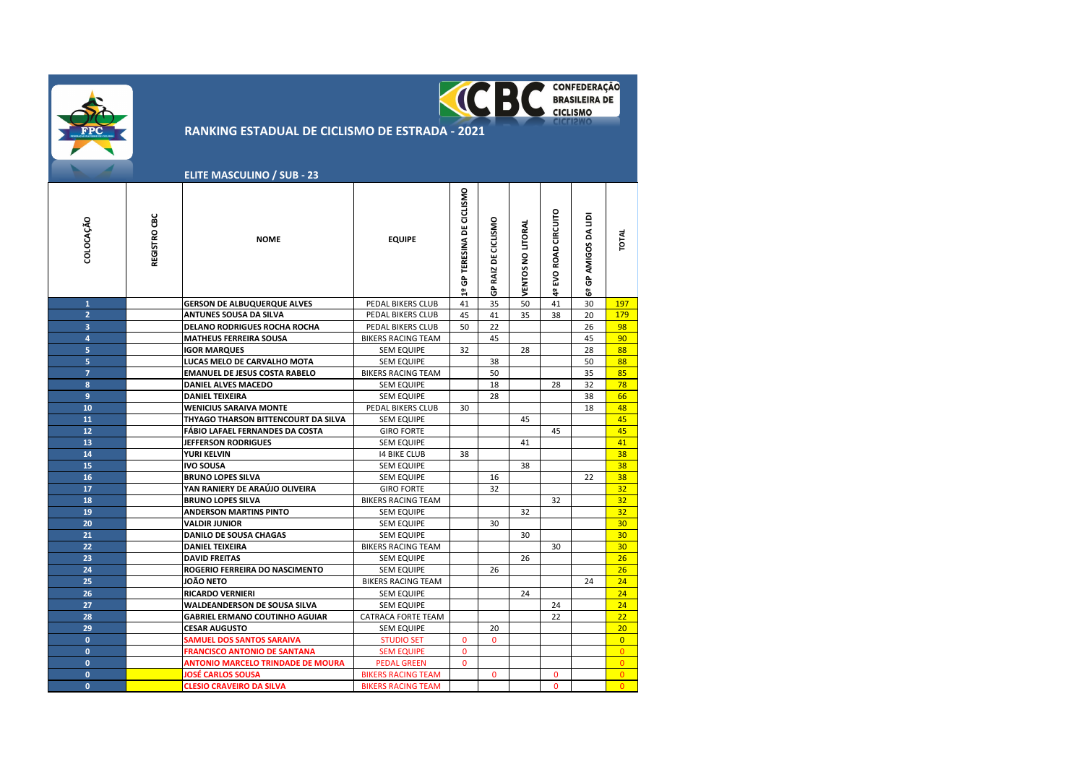|                |              | <b>RANKING ESTADUAL DE CICLISMO DE ESTRADA - 2021</b><br><b>ELITE MASCULINO / SUB - 23</b> |                           |                            |                     | <b>KICBC</b>      |                      | <b>CONFEDERAÇÃO</b><br><b>BRASILEIRA DE</b><br><b>CICLISMO</b> |                 |
|----------------|--------------|--------------------------------------------------------------------------------------------|---------------------------|----------------------------|---------------------|-------------------|----------------------|----------------------------------------------------------------|-----------------|
| COLOCAÇÃO      | REGISTRO CBC | <b>NOME</b>                                                                                | <b>EQUIPE</b>             | 1º GP TERESINA DE CICLISMO | GP RAIZ DE CICLISMO | VENTOS NO LITORAL | 4º EVO ROAD CIRCUITO | GP AMIGOS DA LIDI<br>ಹಿ                                        | <b>TOTAL</b>    |
| $\mathbf{1}$   |              | <b>GERSON DE ALBUQUERQUE ALVES</b>                                                         | PEDAL BIKERS CLUB         | 41                         | 35                  | 50                | 41                   | 30                                                             | 197             |
| $\overline{2}$ |              | <b>ANTUNES SOUSA DA SILVA</b>                                                              | PEDAL BIKERS CLUB         | 45                         | 41                  | 35                | 38                   | 20                                                             | 179             |
| 3              |              | <b>DELANO RODRIGUES ROCHA ROCHA</b>                                                        | PEDAL BIKERS CLUB         | 50                         | 22                  |                   |                      | 26                                                             | 98              |
| $\overline{a}$ |              | <b>MATHEUS FERREIRA SOUSA</b>                                                              | <b>BIKERS RACING TEAM</b> |                            | 45                  |                   |                      | 45                                                             | 90              |
| 5              |              | <b>IGOR MARQUES</b>                                                                        | <b>SEM EQUIPE</b>         | 32                         |                     | 28                |                      | 28                                                             | 88              |
| 5              |              | LUCAS MELO DE CARVALHO MOTA                                                                | <b>SEM EQUIPE</b>         |                            | 38                  |                   |                      | 50                                                             | 88              |
| $\overline{7}$ |              | <b>EMANUEL DE JESUS COSTA RABELO</b>                                                       | <b>BIKERS RACING TEAM</b> |                            | 50                  |                   |                      | 35                                                             | 85              |
| 8              |              | <b>DANIEL ALVES MACEDO</b>                                                                 | <b>SEM EQUIPE</b>         |                            | 18                  |                   | 28                   | 32                                                             | 78              |
| $\overline{9}$ |              | <b>DANIEL TEIXEIRA</b>                                                                     | <b>SEM EQUIPE</b>         |                            | 28                  |                   |                      | 38                                                             | 66              |
| 10             |              | <b>WENICIUS SARAIVA MONTE</b>                                                              | PEDAL BIKERS CLUB         | 30                         |                     |                   |                      | 18                                                             | 48              |
| 11             |              | THYAGO THARSON BITTENCOURT DA SILVA                                                        | <b>SEM EQUIPE</b>         |                            |                     | 45                |                      |                                                                | 45              |
| 12             |              | FÁBIO LAFAEL FERNANDES DA COSTA                                                            | <b>GIRO FORTE</b>         |                            |                     |                   | 45                   |                                                                | 45              |
| 13             |              | <b>JEFFERSON RODRIGUES</b>                                                                 | <b>SEM EQUIPE</b>         |                            |                     | 41                |                      |                                                                | 41              |
| 14             |              | YURI KELVIN                                                                                | <b>14 BIKE CLUB</b>       | 38                         |                     |                   |                      |                                                                | 38              |
| 15             |              | <b>IVO SOUSA</b>                                                                           | <b>SEM EQUIPE</b>         |                            |                     | 38                |                      |                                                                | 38              |
| 16             |              | <b>BRUNO LOPES SILVA</b>                                                                   | <b>SEM EQUIPE</b>         |                            | 16                  |                   |                      | 22                                                             | 38              |
| 17             |              | YAN RANIERY DE ARAÚJO OLIVEIRA                                                             | <b>GIRO FORTE</b>         |                            | 32                  |                   |                      |                                                                | 32              |
| 18             |              | <b>BRUNO LOPES SILVA</b>                                                                   | <b>BIKERS RACING TEAM</b> |                            |                     |                   | 32                   |                                                                | 32              |
| 19             |              | <b>ANDERSON MARTINS PINTO</b>                                                              | <b>SEM EQUIPE</b>         |                            |                     | 32                |                      |                                                                | 32 <sub>2</sub> |
| 20             |              | <b>VALDIR JUNIOR</b>                                                                       | <b>SEM EQUIPE</b>         |                            | 30                  |                   |                      |                                                                | 30              |
| 21             |              | <b>DANILO DE SOUSA CHAGAS</b>                                                              | <b>SEM EQUIPE</b>         |                            |                     | 30                |                      |                                                                | 30              |
| 22             |              | <b>DANIEL TEIXEIRA</b>                                                                     | <b>BIKERS RACING TEAM</b> |                            |                     |                   | 30                   |                                                                | 30 <sub>2</sub> |
| 23             |              | <b>DAVID FREITAS</b>                                                                       | <b>SEM EQUIPE</b>         |                            |                     | 26                |                      |                                                                | 26              |
| 24             |              | <b>ROGERIO FERREIRA DO NASCIMENTO</b>                                                      | <b>SEM EQUIPE</b>         |                            | 26                  |                   |                      |                                                                | 26              |
| 25             |              | JOÃO NETO                                                                                  | <b>BIKERS RACING TEAM</b> |                            |                     |                   |                      | 24                                                             | 24              |
| 26             |              | <b>RICARDO VERNIERI</b>                                                                    | <b>SEM EQUIPE</b>         |                            |                     | 24                |                      |                                                                | 24              |
| 27             |              | WALDEANDERSON DE SOUSA SILVA                                                               | <b>SEM EQUIPE</b>         |                            |                     |                   | 24                   |                                                                | 24              |
| 28             |              | <b>GABRIEL ERMANO COUTINHO AGUIAR</b>                                                      | CATRACA FORTE TEAM        |                            |                     |                   | 22                   |                                                                | 22              |
| 29             |              | <b>CESAR AUGUSTO</b>                                                                       | <b>SEM EQUIPE</b>         |                            | 20                  |                   |                      |                                                                | 20              |
| $\mathbf{0}$   |              | <b>SAMUEL DOS SANTOS SARAIVA</b>                                                           | <b>STUDIO SET</b>         | $\Omega$                   | $\Omega$            |                   |                      |                                                                | $\overline{0}$  |
| $\mathbf{0}$   |              | <b>FRANCISCO ANTONIO DE SANTANA</b>                                                        | <b>SEM EQUIPE</b>         | $\mathbf 0$                |                     |                   |                      |                                                                | $\overline{0}$  |
| $\mathbf{0}$   |              | <b>ANTONIO MARCELO TRINDADE DE MOURA</b>                                                   | <b>PEDAL GREEN</b>        | 0                          |                     |                   |                      |                                                                | $\overline{0}$  |
| $\mathbf{0}$   |              | JOSÉ CARLOS SOUSA                                                                          | <b>BIKERS RACING TEAM</b> |                            | $\Omega$            |                   | $\Omega$             |                                                                | $\Omega$        |
| $\mathbf{0}$   |              | <b>CLESIO CRAVEIRO DA SILVA</b>                                                            | <b>BIKERS RACING TEAM</b> |                            |                     |                   | $\Omega$             |                                                                | $\Omega$        |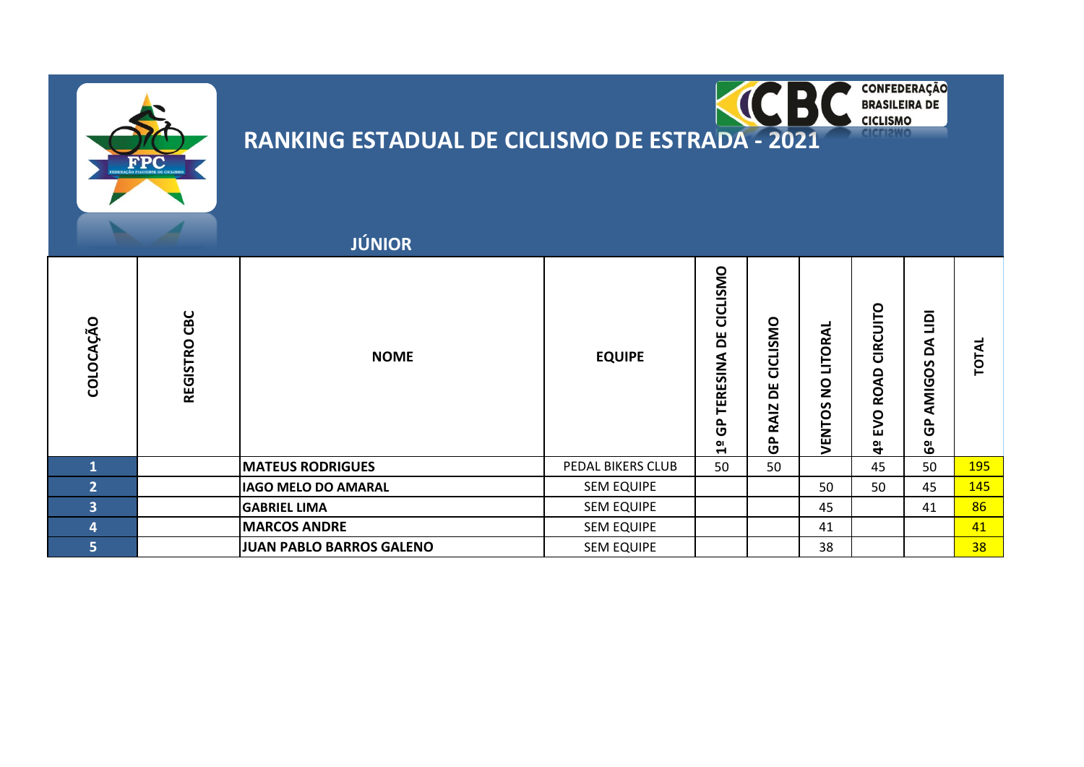



**CONFEDERAÇÃO<br>BRASILEIRA DE CICLISMO** 

|                         |                 | <b>JÚNIOR</b>                   |                   |                                                    |                                      |                                                 |                                                      |                                                           |            |
|-------------------------|-----------------|---------------------------------|-------------------|----------------------------------------------------|--------------------------------------|-------------------------------------------------|------------------------------------------------------|-----------------------------------------------------------|------------|
| COLOCAÇÃO               | CBC<br>REGISTRO | <b>NOME</b>                     | <b>EQUIPE</b>     | CICLISMO<br>ă<br>TERESINA<br>င်္င<br>$\frac{1}{2}$ | CICLISMO<br>۵<br><b>RAIZ</b><br>င်္င | <b>LITORAL</b><br>$\overline{2}$<br>S<br>VENTOS | CIRCUITO<br>å<br><b>Q</b><br>S<br>ш<br>$\frac{1}{4}$ | $\overline{9}$<br>⋖<br>$\Omega$<br>AMIGOS<br>௳<br>ပ<br>မိ | TOTAL      |
| 1                       |                 | <b>MATEUS RODRIGUES</b>         | PEDAL BIKERS CLUB | 50                                                 | 50                                   |                                                 | 45                                                   | 50                                                        | <b>195</b> |
| $\overline{2}$          |                 | <b>IAGO MELO DO AMARAL</b>      | <b>SEM EQUIPE</b> |                                                    |                                      | 50                                              | 50                                                   | 45                                                        | 145        |
| $\overline{3}$          |                 | <b>GABRIEL LIMA</b>             | <b>SEM EQUIPE</b> |                                                    |                                      | 45                                              |                                                      | 41                                                        | 86         |
| $\overline{\mathbf{4}}$ |                 | <b>MARCOS ANDRE</b>             | <b>SEM EQUIPE</b> |                                                    |                                      | 41                                              |                                                      |                                                           | 41         |
| 5                       |                 | <b>JUAN PABLO BARROS GALENO</b> | <b>SEM EQUIPE</b> |                                                    |                                      | 38                                              |                                                      |                                                           | 38         |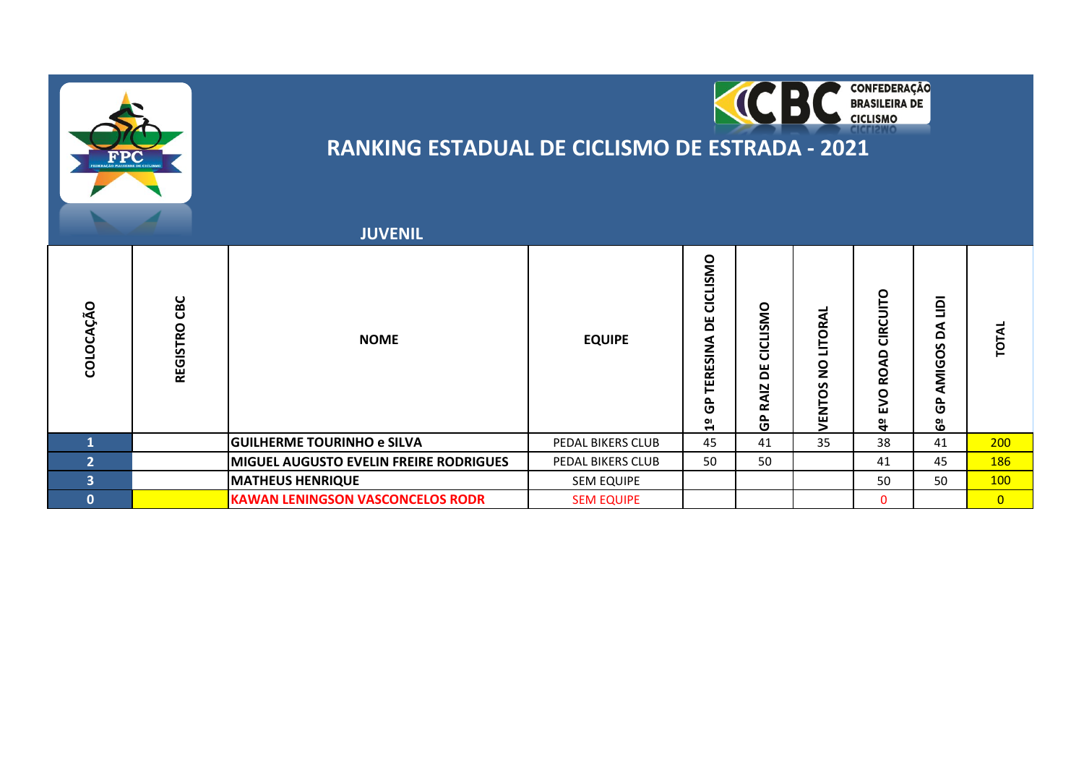



|                         |                 | <b>JUVENIL</b>                                |                   |                                                      |                             |                                   |                                      |                                                |                |
|-------------------------|-----------------|-----------------------------------------------|-------------------|------------------------------------------------------|-----------------------------|-----------------------------------|--------------------------------------|------------------------------------------------|----------------|
| COLOCAÇÃO               | CBC<br>REGISTRO | <b>NOME</b>                                   | <b>EQUIPE</b>     | CICLISMO<br>ж<br><b><i>TERESINA</i></b><br>င်္င<br>임 | CICLISMO<br>ж<br>RAIZ<br>င် | LITORAL<br>$\mathbf{S}$<br>VENTOS | O<br>ں<br>Ĕ<br>Ő<br>Ñ<br>O<br>ш<br>ु | $\overline{9}$<br>⋖<br>۵<br>AMIGOS<br>င်<br>မိ | <b>TOTAL</b>   |
|                         |                 | <b>GUILHERME TOURINHO e SILVA</b>             | PEDAL BIKERS CLUB | 45                                                   | 41                          | 35                                | 38                                   | 41                                             | 200            |
| $\overline{2}$          |                 | <b>MIGUEL AUGUSTO EVELIN FREIRE RODRIGUES</b> | PEDAL BIKERS CLUB | 50                                                   | 50                          |                                   | 41                                   | 45                                             | <b>186</b>     |
| $\overline{\mathbf{3}}$ |                 | <b>MATHEUS HENRIQUE</b>                       | <b>SEM EQUIPE</b> |                                                      |                             |                                   | 50                                   | 50                                             | <b>100</b>     |
| $\bf{0}$                |                 | <b>KAWAN LENINGSON VASCONCELOS RODR</b>       | <b>SEM EQUIPE</b> |                                                      |                             |                                   | $\mathbf{0}$                         |                                                | $\overline{0}$ |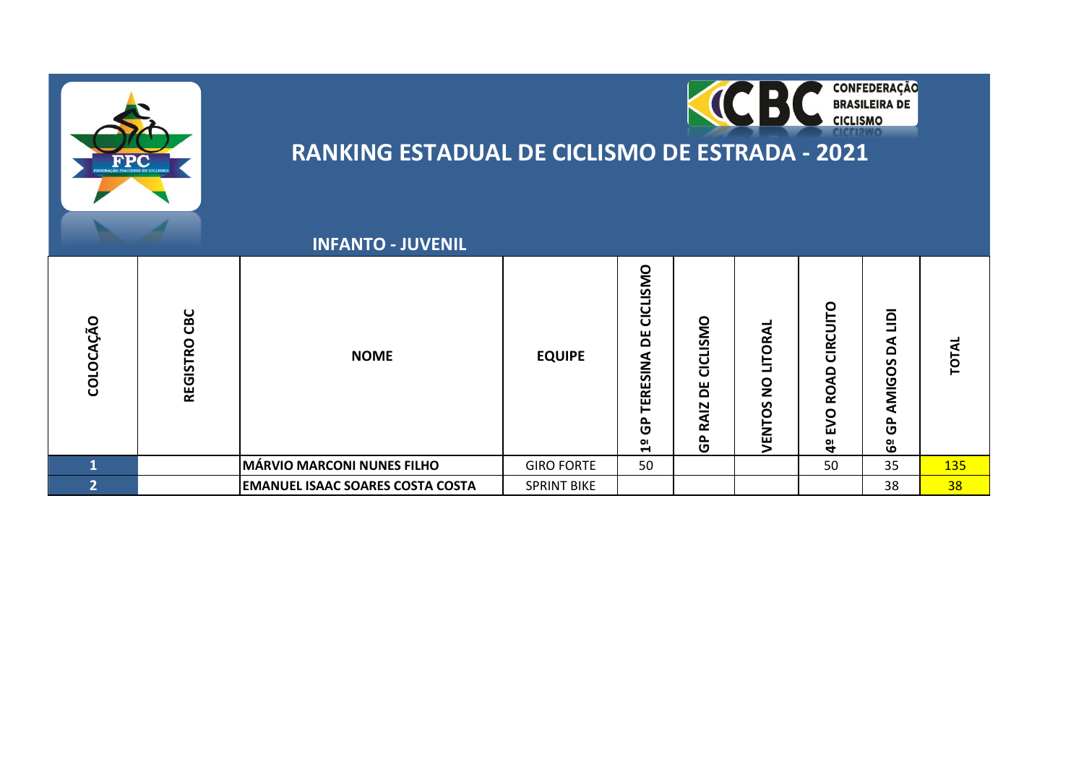



|                |                        | <b>INFANTO - JUVENIL</b>                |                    |                                                                                                 |                                      |                                                                               |                                                 |                                                                                  |             |
|----------------|------------------------|-----------------------------------------|--------------------|-------------------------------------------------------------------------------------------------|--------------------------------------|-------------------------------------------------------------------------------|-------------------------------------------------|----------------------------------------------------------------------------------|-------------|
| COLOCAÇÃO      | CBC<br><b>REGISTRO</b> | <b>NOME</b>                             | <b>EQUIPE</b>      | <b>ISMO</b><br><u>ט</u><br>ס<br>Ъ<br>⋖<br>z<br>ERESII<br>င်္င<br>$\mathbf{O}$<br>$\blacksquare$ | CICLISMO<br>۵<br><b>RAIZ</b><br>င်္င | <b>ITORAI</b><br>$\overline{\phantom{a}}$<br>$\frac{1}{2}$<br>ທ<br>ENTO:<br>↘ | CIRCUITO<br>۵<br>⋖<br>Q<br><b>DAB</b><br>o<br>4 | $\mathbf{r}$<br>┙<br>⋖<br>۵<br>n<br>O<br>AMIG<br>ලි<br>ОI<br>$\ddot{\mathbf{o}}$ | <b>TOTA</b> |
| $\mathbf{1}$   |                        | MÁRVIO MARCONI NUNES FILHO              | <b>GIRO FORTE</b>  | 50                                                                                              |                                      |                                                                               | 50                                              | 35                                                                               | <b>135</b>  |
| $\overline{2}$ |                        | <b>EMANUEL ISAAC SOARES COSTA COSTA</b> | <b>SPRINT BIKE</b> |                                                                                                 |                                      |                                                                               |                                                 | 38                                                                               | 38          |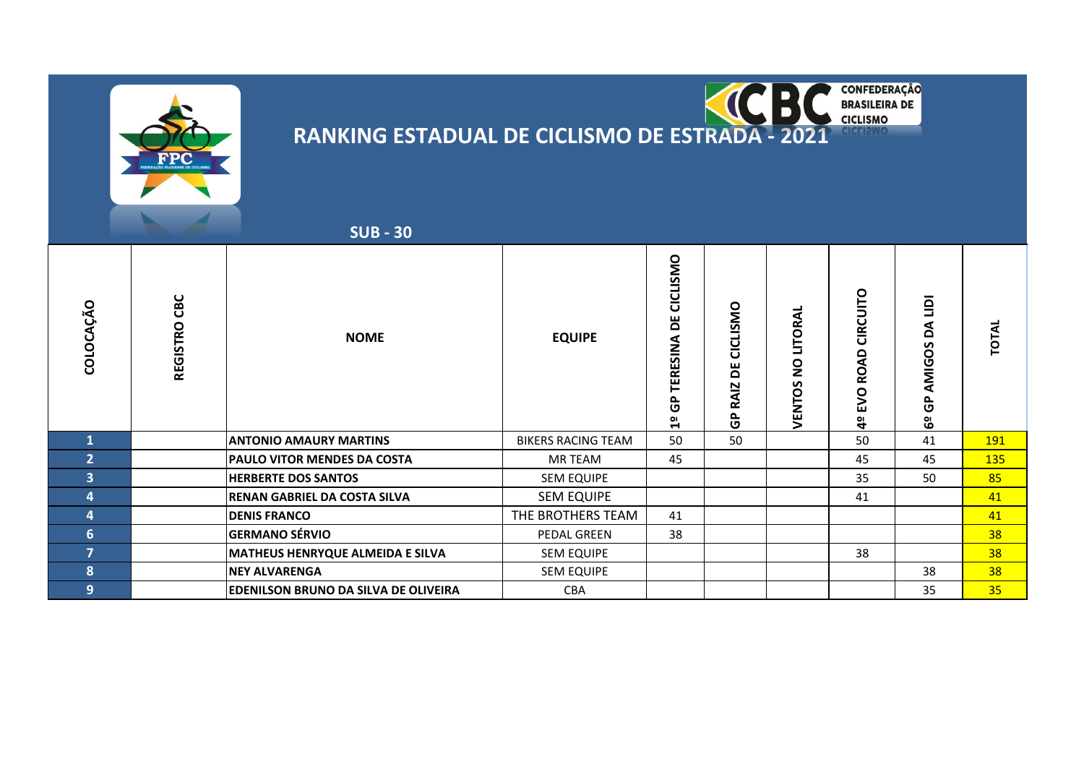



 **SUB - 30**

| AÇÃO<br>COLO   | CBC<br>REGISTRO | <b>NOME</b>                                 | <b>EQUIPE</b>             | CICLISMO<br>ш<br>۵<br>ERESINA<br>င်္င<br>읩 | CICLISMO<br>۵<br>RAIZ<br>$\mathbf{\hat{G}}$ | ᆜ<br>LITORA<br>$\mathsf{S}^\mathsf{O}$<br>VENTOS | CIRCUITO<br><b>ROAD</b><br><b>DAB</b><br>$\mathbf{a}$ | $\bar{\mathsf{q}}$<br>⋖<br>۵<br><b>MIGOS</b><br>⋖<br>௨<br>ט<br>မိ | TOTAL      |
|----------------|-----------------|---------------------------------------------|---------------------------|--------------------------------------------|---------------------------------------------|--------------------------------------------------|-------------------------------------------------------|-------------------------------------------------------------------|------------|
|                |                 | <b>ANTONIO AMAURY MARTINS</b>               | <b>BIKERS RACING TEAM</b> | 50                                         | 50                                          |                                                  | 50                                                    | 41                                                                | <b>191</b> |
| 2              |                 | <b>PAULO VITOR MENDES DA COSTA</b>          | MR TEAM                   | 45                                         |                                             |                                                  | 45                                                    | 45                                                                | 135        |
| $\overline{3}$ |                 | <b>HERBERTE DOS SANTOS</b>                  | SEM EQUIPE                |                                            |                                             |                                                  | 35                                                    | 50                                                                | 85         |
| $\overline{4}$ |                 | <b>RENAN GABRIEL DA COSTA SILVA</b>         | <b>SEM EQUIPE</b>         |                                            |                                             |                                                  | 41                                                    |                                                                   | 41         |
| $\overline{4}$ |                 | <b>DENIS FRANCO</b>                         | THE BROTHERS TEAM         | 41                                         |                                             |                                                  |                                                       |                                                                   | 41         |
| 6              |                 | <b>GERMANO SÉRVIO</b>                       | PEDAL GREEN               | 38                                         |                                             |                                                  |                                                       |                                                                   | 38         |
| $\overline{7}$ |                 | <b>MATHEUS HENRYQUE ALMEIDA E SILVA</b>     | <b>SEM EQUIPE</b>         |                                            |                                             |                                                  | 38                                                    |                                                                   | 38         |
| 8              |                 | <b>NEY ALVARENGA</b>                        | <b>SEM EQUIPE</b>         |                                            |                                             |                                                  |                                                       | 38                                                                | 38         |
| 9              |                 | <b>EDENILSON BRUNO DA SILVA DE OLIVEIRA</b> | <b>CBA</b>                |                                            |                                             |                                                  |                                                       | 35                                                                | 35         |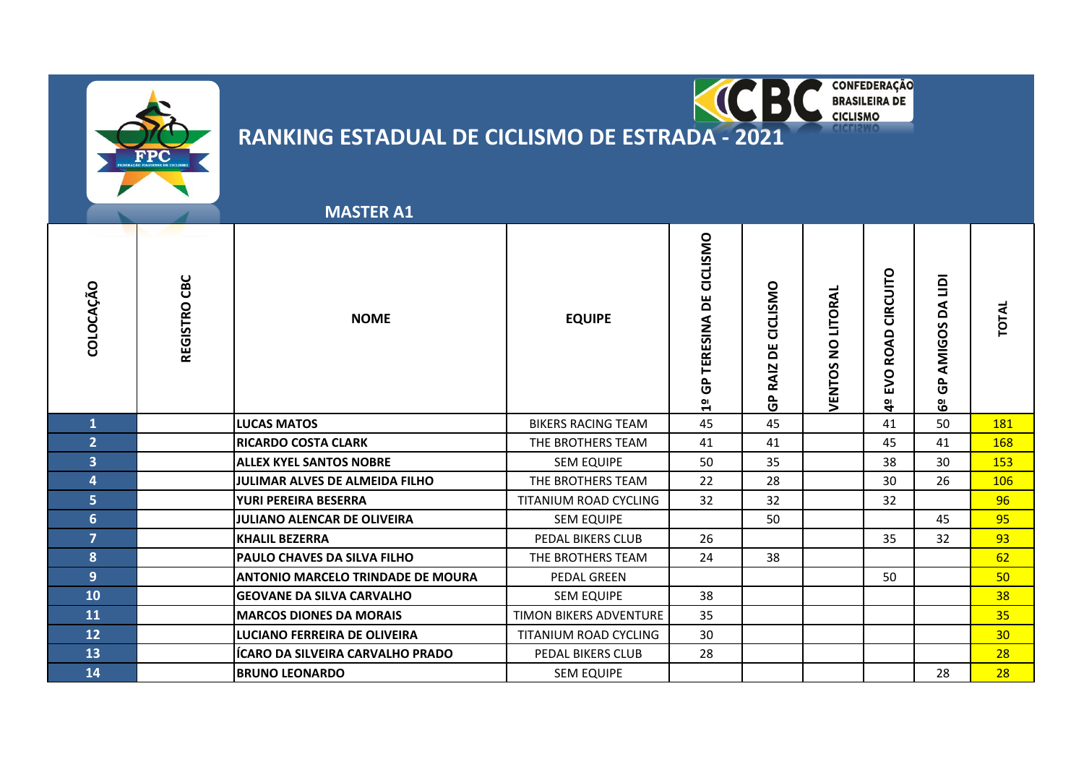

### C  $\overline{\phantom{a}}$ **RANKING ESTADUAL DE CICLISMO DE ESTRADA - 2021**

**CONFEDERAÇÃO<br>BRASILEIRA DE<br>CICLISMO** 

|                         |                 | <b>MASTER A1</b>                         |                           |                                                                |                                                   |                                                           |                                                       |                            |                 |
|-------------------------|-----------------|------------------------------------------|---------------------------|----------------------------------------------------------------|---------------------------------------------------|-----------------------------------------------------------|-------------------------------------------------------|----------------------------|-----------------|
| COLOCAÇÃO               | CBC<br>REGISTRO | <b>NOME</b>                              | <b>EQUIPE</b>             | DE CICLISMO<br>TERESINA<br>$\mathbf{\hat{G}}$<br>$\frac{1}{2}$ | CICLISMO<br>ŏ<br><b>RAIZ</b><br>$\mathbf{r}$<br>ပ | LITORAL<br>$\mathsf{S}^{\mathsf{O}}$<br>S<br><b>VENTO</b> | CIRCUITO<br><b>ROAD</b><br><b>DVB</b><br>$\mathbf{a}$ | Ξ<br>AMIGOS DA<br>ဇ္<br>မိ | <b>TOTAL</b>    |
| $\mathbf{1}$            |                 | <b>LUCAS MATOS</b>                       | <b>BIKERS RACING TEAM</b> | 45                                                             | 45                                                |                                                           | 41                                                    | 50                         | 181             |
| 2 <sup>1</sup>          |                 | <b>RICARDO COSTA CLARK</b>               | THE BROTHERS TEAM         | 41                                                             | 41                                                |                                                           | 45                                                    | 41                         | 168             |
| $\overline{\mathbf{3}}$ |                 | <b>ALLEX KYEL SANTOS NOBRE</b>           | <b>SEM EQUIPE</b>         | 50                                                             | 35                                                |                                                           | 38                                                    | 30                         | 153             |
| 4                       |                 | <b>JULIMAR ALVES DE ALMEIDA FILHO</b>    | THE BROTHERS TEAM         | 22                                                             | 28                                                |                                                           | 30                                                    | 26                         | 106             |
| 5 <sup>1</sup>          |                 | <b>YURI PEREIRA BESERRA</b>              | TITANIUM ROAD CYCLING     | 32                                                             | 32                                                |                                                           | 32                                                    |                            | 96              |
| 6                       |                 | <b>JULIANO ALENCAR DE OLIVEIRA</b>       | <b>SEM EQUIPE</b>         |                                                                | 50                                                |                                                           |                                                       | 45                         | 95              |
| $\overline{7}$          |                 | <b>KHALIL BEZERRA</b>                    | PEDAL BIKERS CLUB         | 26                                                             |                                                   |                                                           | 35                                                    | 32                         | 93              |
| 8                       |                 | <b>PAULO CHAVES DA SILVA FILHO</b>       | THE BROTHERS TEAM         | 24                                                             | 38                                                |                                                           |                                                       |                            | 62              |
| 9                       |                 | <b>ANTONIO MARCELO TRINDADE DE MOURA</b> | PEDAL GREEN               |                                                                |                                                   |                                                           | 50                                                    |                            | 50 <sub>2</sub> |
| 10                      |                 | <b>GEOVANE DA SILVA CARVALHO</b>         | <b>SEM EQUIPE</b>         | 38                                                             |                                                   |                                                           |                                                       |                            | 38              |
| 11                      |                 | <b>MARCOS DIONES DA MORAIS</b>           | TIMON BIKERS ADVENTURE    | 35                                                             |                                                   |                                                           |                                                       |                            | 35              |
| 12                      |                 | LUCIANO FERREIRA DE OLIVEIRA             | TITANIUM ROAD CYCLING     | 30                                                             |                                                   |                                                           |                                                       |                            | 30 <sub>2</sub> |
| 13                      |                 | ÍCARO DA SILVEIRA CARVALHO PRADO         | PEDAL BIKERS CLUB         | 28                                                             |                                                   |                                                           |                                                       |                            | 28              |
| 14                      |                 | <b>BRUNO LEONARDO</b>                    | <b>SEM EQUIPE</b>         |                                                                |                                                   |                                                           |                                                       | 28                         | 28              |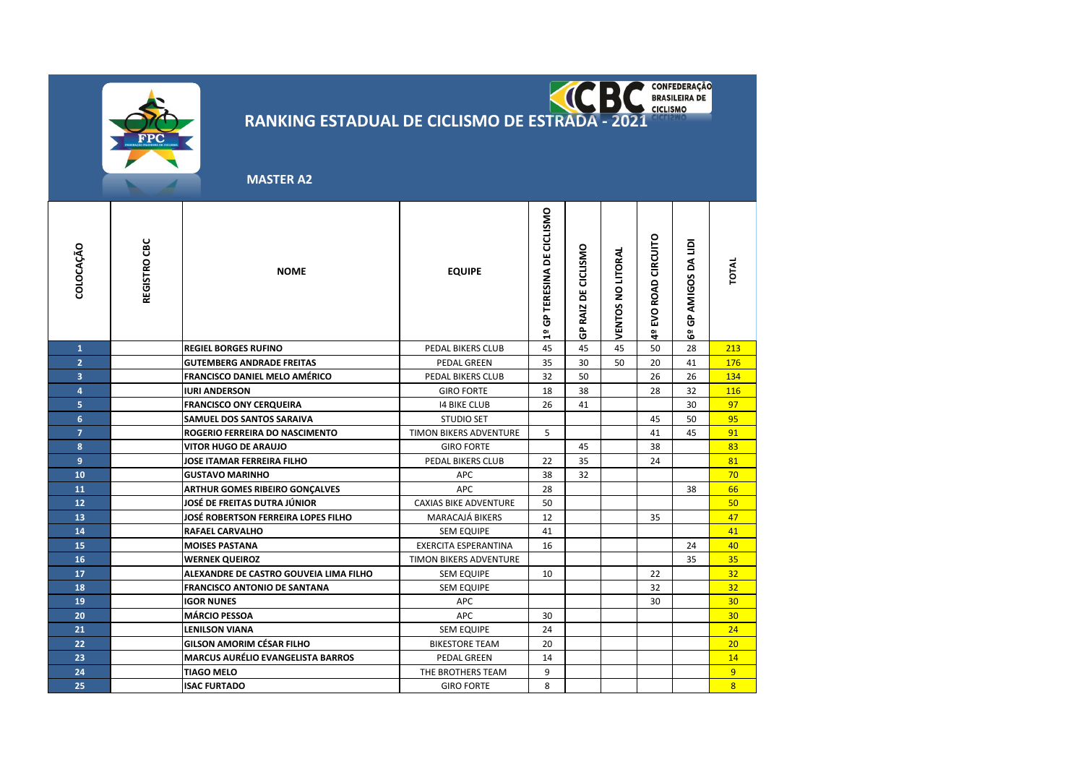

RANKING ESTADUAL DE CICLISMO DE ESTRADA - 2021 KC  $\overline{\phantom{a}}$ 

 **MASTER A2**

| COLOCAÇÃO               | REGISTRO CBC | <b>NOME</b>                              | <b>EQUIPE</b>                 | GP TERESINA DE CICLISMO<br>읩 | GP RAIZ DE CICLISMO | VENTOS NO LITORAL | EVO ROAD CIRCUITO<br>$\frac{1}{9}$ | GP AMIGOS DA LIDI<br>$\tilde{e}$ | TOTAL           |
|-------------------------|--------------|------------------------------------------|-------------------------------|------------------------------|---------------------|-------------------|------------------------------------|----------------------------------|-----------------|
| $\mathbf{1}$            |              | <b>REGIEL BORGES RUFINO</b>              | PEDAL BIKERS CLUB             | 45                           | 45                  | 45                | 50                                 | 28                               | 213             |
| $\overline{2}$          |              | <b>GUTEMBERG ANDRADE FREITAS</b>         | <b>PEDAL GREEN</b>            | 35                           | 30                  | 50                | 20                                 | 41                               | 176             |
| $\overline{\mathbf{3}}$ |              | FRANCISCO DANIEL MELO AMÉRICO            | PEDAL BIKERS CLUB             | 32                           | 50                  |                   | 26                                 | 26                               | 134             |
| $\overline{a}$          |              | <b>IURI ANDERSON</b>                     | <b>GIRO FORTE</b>             | 18                           | 38                  |                   | 28                                 | 32                               | 116             |
| 5                       |              | <b>FRANCISCO ONY CERQUEIRA</b>           | <b>14 BIKE CLUB</b>           | 26                           | 41                  |                   |                                    | 30                               | 97              |
| $6\overline{6}$         |              | <b>SAMUEL DOS SANTOS SARAIVA</b>         | <b>STUDIO SET</b>             |                              |                     |                   | 45                                 | 50                               | 95              |
| $\overline{7}$          |              | ROGERIO FERREIRA DO NASCIMENTO           | <b>TIMON BIKERS ADVENTURE</b> | 5                            |                     |                   | 41                                 | 45                               | 91              |
| 8                       |              | <b>VITOR HUGO DE ARAUJO</b>              | <b>GIRO FORTE</b>             |                              | 45                  |                   | 38                                 |                                  | 83              |
| 9                       |              | <b>JOSE ITAMAR FERREIRA FILHO</b>        | PEDAL BIKERS CLUB             | 22                           | 35                  |                   | 24                                 |                                  | 81              |
| 10                      |              | <b>GUSTAVO MARINHO</b>                   | <b>APC</b>                    | 38                           | 32                  |                   |                                    |                                  | 70              |
| 11                      |              | <b>ARTHUR GOMES RIBEIRO GONÇALVES</b>    | <b>APC</b>                    | 28                           |                     |                   |                                    | 38                               | 66              |
| 12                      |              | JOSÉ DE FREITAS DUTRA JÚNIOR             | <b>CAXIAS BIKE ADVENTURE</b>  | 50                           |                     |                   |                                    |                                  | 50              |
| 13                      |              | JOSÉ ROBERTSON FERREIRA LOPES FILHO      | MARACAJÁ BIKERS               | 12                           |                     |                   | 35                                 |                                  | 47              |
| 14                      |              | <b>RAFAEL CARVALHO</b>                   | <b>SEM EQUIPE</b>             | 41                           |                     |                   |                                    |                                  | 41              |
| 15                      |              | <b>MOISES PASTANA</b>                    | <b>EXERCITA ESPERANTINA</b>   | 16                           |                     |                   |                                    | 24                               | 40              |
| 16                      |              | <b>WERNEK QUEIROZ</b>                    | TIMON BIKERS ADVENTURE        |                              |                     |                   |                                    | 35                               | 35              |
| 17                      |              | ALEXANDRE DE CASTRO GOUVEIA LIMA FILHO   | <b>SEM EQUIPE</b>             | 10                           |                     |                   | 22                                 |                                  | 32              |
| 18                      |              | <b>FRANCISCO ANTONIO DE SANTANA</b>      | <b>SEM EQUIPE</b>             |                              |                     |                   | 32                                 |                                  | 32              |
| 19                      |              | <b>IGOR NUNES</b>                        | <b>APC</b>                    |                              |                     |                   | 30                                 |                                  | 30 <sub>2</sub> |
| 20                      |              | <b>MÁRCIO PESSOA</b>                     | <b>APC</b>                    | 30                           |                     |                   |                                    |                                  | 30              |
| 21                      |              | <b>LENILSON VIANA</b>                    | <b>SEM EQUIPE</b>             | 24                           |                     |                   |                                    |                                  | 24              |
| 22                      |              | <b>GILSON AMORIM CÉSAR FILHO</b>         | <b>BIKESTORE TEAM</b>         | 20                           |                     |                   |                                    |                                  | 20              |
| 23                      |              | <b>MARCUS AURÉLIO EVANGELISTA BARROS</b> | <b>PEDAL GREEN</b>            | 14                           |                     |                   |                                    |                                  | 14              |
| 24                      |              | <b>TIAGO MELO</b>                        | THE BROTHERS TEAM             | 9                            |                     |                   |                                    |                                  | 9 <sup>°</sup>  |
| 25                      |              | <b>ISAC FURTADO</b>                      | <b>GIRO FORTE</b>             | 8                            |                     |                   |                                    |                                  | $\overline{8}$  |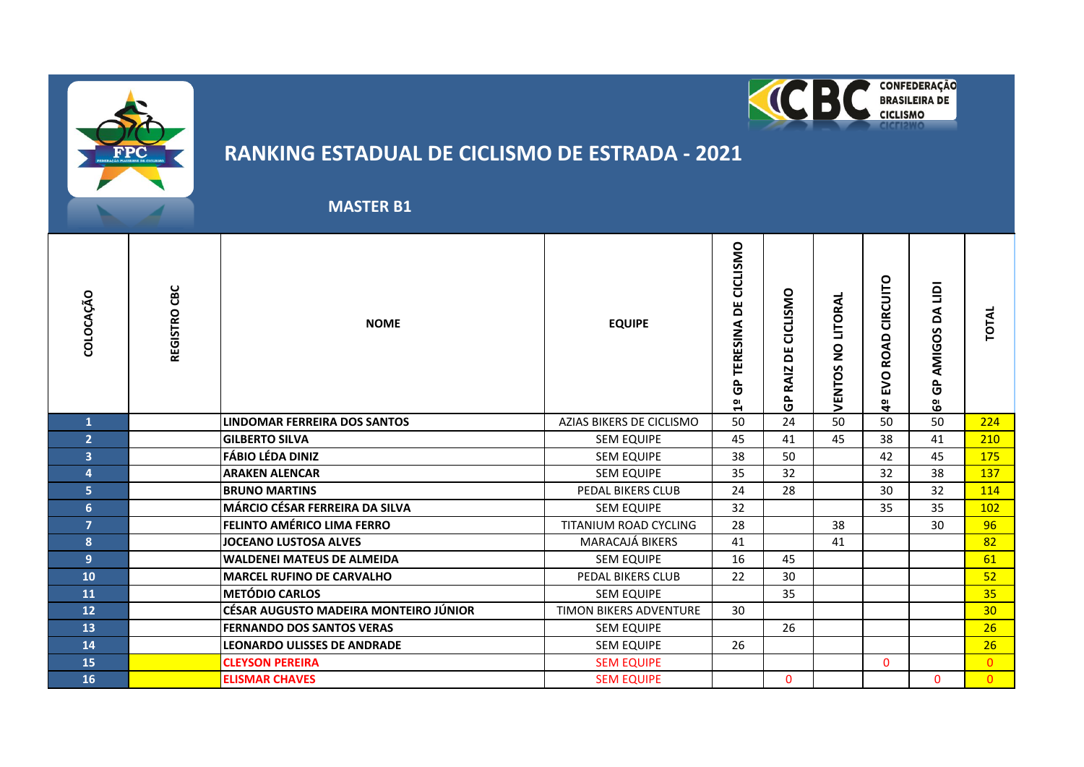



#### **MASTER B1**

| COLOCAÇÃO               | REGISTRO CBC | <b>NOME</b>                           | <b>EQUIPE</b>                 | CICLISMO<br>ă<br>TERESINA<br>င်္င<br>$\overline{\mathbf{u}}$ | CICLISMO<br>ш<br>ō<br><b>RAIZ</b><br>$\sim$<br>O | LITORA<br>$\frac{1}{2}$<br>ပ<br><b>VENTOS</b> | CIRCUITO<br><b>ROAD</b><br>O<br>≧<br>a<br>4 | $\overline{q}$<br>⋖<br>۵<br>AMIGOS<br>ρ.<br>O<br>မိ | TOTAL           |
|-------------------------|--------------|---------------------------------------|-------------------------------|--------------------------------------------------------------|--------------------------------------------------|-----------------------------------------------|---------------------------------------------|-----------------------------------------------------|-----------------|
| 1                       |              | LINDOMAR FERREIRA DOS SANTOS          | AZIAS BIKERS DE CICLISMO      | 50                                                           | 24                                               | 50                                            | 50                                          | 50                                                  | 224             |
| $\overline{2}$          |              | <b>GILBERTO SILVA</b>                 | <b>SEM EQUIPE</b>             | 45                                                           | 41                                               | 45                                            | 38                                          | 41                                                  | 210             |
| $\overline{\mathbf{3}}$ |              | <b>FÁBIO LÉDA DINIZ</b>               | <b>SEM EQUIPE</b>             | 38                                                           | 50                                               |                                               | 42                                          | 45                                                  | 175             |
| 4                       |              | <b>ARAKEN ALENCAR</b>                 | <b>SEM EQUIPE</b>             | 35                                                           | 32                                               |                                               | 32                                          | 38                                                  | 137             |
| 5 <sup>1</sup>          |              | <b>BRUNO MARTINS</b>                  | PEDAL BIKERS CLUB             | 24                                                           | 28                                               |                                               | 30                                          | 32                                                  | 114             |
| 6 <sup>1</sup>          |              | <b>MÁRCIO CÉSAR FERREIRA DA SILVA</b> | <b>SEM EQUIPE</b>             | 32                                                           |                                                  |                                               | 35                                          | 35                                                  | 102             |
| $\overline{7}$          |              | FELINTO AMÉRICO LIMA FERRO            | TITANIUM ROAD CYCLING         | 28                                                           |                                                  | 38                                            |                                             | 30                                                  | 96              |
| 8                       |              | <b>JOCEANO LUSTOSA ALVES</b>          | MARACAJÁ BIKERS               | 41                                                           |                                                  | 41                                            |                                             |                                                     | 82              |
| 9                       |              | <b>WALDENEI MATEUS DE ALMEIDA</b>     | <b>SEM EQUIPE</b>             | 16                                                           | 45                                               |                                               |                                             |                                                     | 61              |
| 10                      |              | <b>MARCEL RUFINO DE CARVALHO</b>      | PEDAL BIKERS CLUB             | 22                                                           | 30                                               |                                               |                                             |                                                     | 52              |
| 11                      |              | <b>METÓDIO CARLOS</b>                 | <b>SEM EQUIPE</b>             |                                                              | 35                                               |                                               |                                             |                                                     | 35              |
| 12                      |              | CÉSAR AUGUSTO MADEIRA MONTEIRO JÚNIOR | <b>TIMON BIKERS ADVENTURE</b> | 30                                                           |                                                  |                                               |                                             |                                                     | 30 <sub>2</sub> |
| 13                      |              | <b>FERNANDO DOS SANTOS VERAS</b>      | <b>SEM EQUIPE</b>             |                                                              | 26                                               |                                               |                                             |                                                     | 26              |
| 14                      |              | <b>LEONARDO ULISSES DE ANDRADE</b>    | <b>SEM EQUIPE</b>             | 26                                                           |                                                  |                                               |                                             |                                                     | 26              |
| 15                      |              | <b>CLEYSON PEREIRA</b>                | <b>SEM EQUIPE</b>             |                                                              |                                                  |                                               | $\mathbf{0}$                                |                                                     | $\Omega$        |
| 16                      |              | <b>ELISMAR CHAVES</b>                 | <b>SEM EQUIPE</b>             |                                                              | $\mathbf{0}$                                     |                                               |                                             | $\mathbf{0}$                                        | $\overline{0}$  |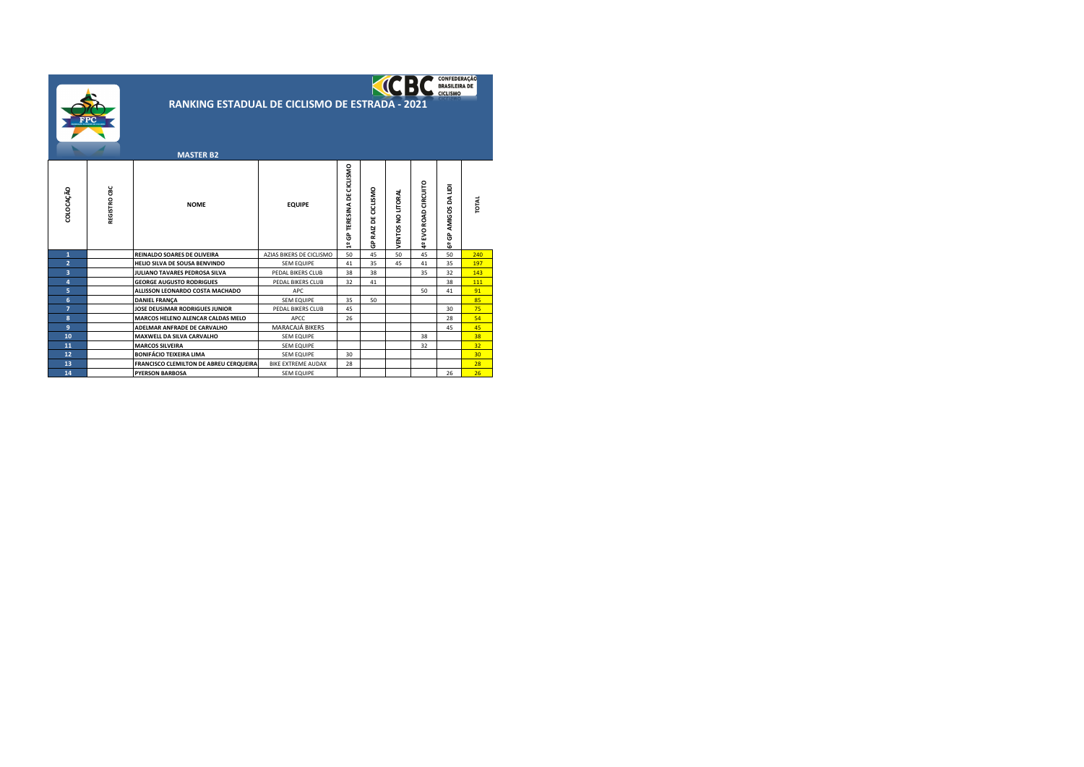|                | CONFEDERAÇÃO<br><b>BRASILEIRA DE</b><br><b>CICLISMO</b><br><b>RANKING ESTADUAL DE CICLISMO DE ESTRADA - 2021</b> |                                          |                           |                            |                     |                   |                      |                                |              |  |  |
|----------------|------------------------------------------------------------------------------------------------------------------|------------------------------------------|---------------------------|----------------------------|---------------------|-------------------|----------------------|--------------------------------|--------------|--|--|
|                |                                                                                                                  | <b>MASTER B2</b>                         |                           |                            |                     |                   |                      |                                |              |  |  |
| COLOCAÇÃO      | REGISTRO CBC                                                                                                     | <b>NOME</b>                              | <b>EQUIPE</b>             | 1º GP TERESINA DE CICLISMO | GP RAIZ DE CICLISMO | VENTOS NO LITORAL | 4º EVO ROAD CIRCUITO | AMIGOS DA LIDI<br><b>GP</b> 39 | <b>TOTAL</b> |  |  |
| $\mathbf{1}$   |                                                                                                                  | <b>REINALDO SOARES DE OLIVEIRA</b>       | AZIAS BIKERS DE CICLISMO  | 50                         | 45                  | 50                | 45                   | 50                             | 240          |  |  |
| $\overline{a}$ |                                                                                                                  | HELIO SILVA DE SOUSA BENVINDO            | <b>SEM EQUIPE</b>         | 41                         | 35                  | 45                | 41                   | 35                             | 197          |  |  |
| 3              |                                                                                                                  | JULIANO TAVARES PEDROSA SILVA            | PEDAL BIKERS CLUB         | 38                         | 38                  |                   | 35                   | 32                             | 143          |  |  |
| 4              |                                                                                                                  | <b>GEORGE AUGUSTO RODRIGUES</b>          | PEDAL BIKERS CLUB         | 32                         | 41                  |                   |                      | 38                             | 111          |  |  |
| 5              |                                                                                                                  | ALLISSON LEONARDO COSTA MACHADO          | APC                       |                            |                     |                   | 50                   | 41                             | 91           |  |  |
| 6              |                                                                                                                  | <b>DANIEL FRANÇA</b>                     | <b>SEM EQUIPE</b>         | 35                         | 50                  |                   |                      |                                | 85           |  |  |
| $\overline{7}$ |                                                                                                                  | JOSE DEUSIMAR RODRIGUES JUNIOR           | PEDAL BIKERS CLUB         | 45                         |                     |                   |                      | 30                             | 75           |  |  |
| 8              |                                                                                                                  | <b>MARCOS HELENO ALENCAR CALDAS MELO</b> | APCC                      | 26                         |                     |                   |                      | 28                             | 54           |  |  |
| 9              |                                                                                                                  | ADELMAR ANFRADE DE CARVALHO              | MARACAJÁ BIKERS           |                            |                     |                   |                      | 45                             | 45           |  |  |
| 10             |                                                                                                                  | <b>MAXWELL DA SILVA CARVALHO</b>         | <b>SEM EQUIPE</b>         |                            |                     |                   | 38                   |                                | 38           |  |  |
| 11             |                                                                                                                  | <b>MARCOS SILVEIRA</b>                   | <b>SEM EQUIPE</b>         |                            |                     |                   | 32                   |                                | 32           |  |  |
| 12             |                                                                                                                  | <b>BONIFÁCIO TEIXEIRA LIMA</b>           | <b>SEM EQUIPE</b>         | 30                         |                     |                   |                      |                                | 30           |  |  |
| 13             |                                                                                                                  | FRANCISCO CLEMILTON DE ABREU CERQUEIRA   | <b>BIKE EXTREME AUDAX</b> | 28                         |                     |                   |                      |                                | 28           |  |  |
| 14             |                                                                                                                  | <b>PYERSON BARBOSA</b>                   | <b>SEM EQUIPE</b>         |                            |                     |                   |                      | 26                             | 26           |  |  |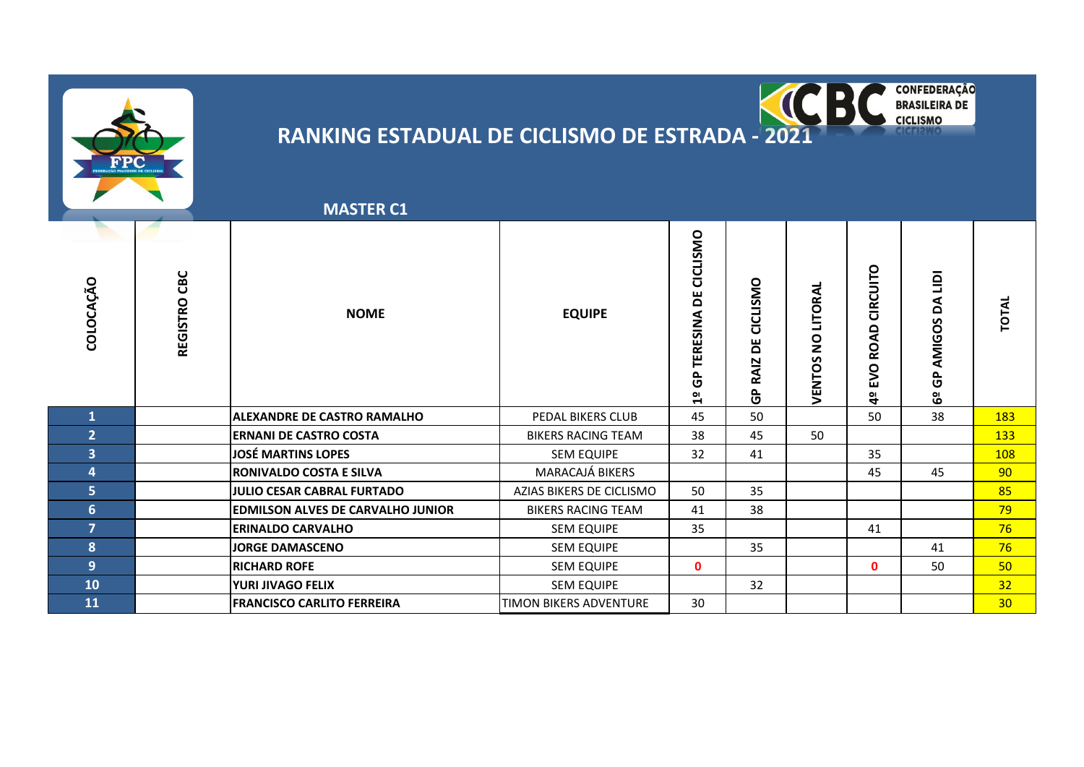



| <b>MASTER C1</b> |  |
|------------------|--|
|                  |  |

| COLOCAÇÃO               | REGISTRO CBC | <b>NOME</b>                              | <b>EQUIPE</b>             | CICLISMO<br>ш<br>$\Omega$<br>⋖<br>ERESIN<br>o.<br>o<br>$\frac{1}{2}$ | CICLISMO<br>ш<br>۵<br><b>RAIZ</b><br>င်္င | VENTOS NO LITORAL | CIRCUITO<br><b>ROAD</b><br><b>EVO</b><br>å | $\overline{9}$<br>⋖<br>۵<br>AMIGOS<br>௨<br>O<br>မိ | <b>TOTAL</b> |
|-------------------------|--------------|------------------------------------------|---------------------------|----------------------------------------------------------------------|-------------------------------------------|-------------------|--------------------------------------------|----------------------------------------------------|--------------|
|                         |              | <b>ALEXANDRE DE CASTRO RAMALHO</b>       | PEDAL BIKERS CLUB         | 45                                                                   | 50                                        |                   | 50                                         | 38                                                 | 183          |
| $\overline{2}$          |              | <b>ERNANI DE CASTRO COSTA</b>            | <b>BIKERS RACING TEAM</b> | 38                                                                   | 45                                        | 50                |                                            |                                                    | <b>133</b>   |
| $\overline{\mathbf{3}}$ |              | <b>JOSÉ MARTINS LOPES</b>                | <b>SEM EQUIPE</b>         | 32                                                                   | 41                                        |                   | 35                                         |                                                    | <b>108</b>   |
| 4                       |              | <b>RONIVALDO COSTA E SILVA</b>           | MARACAJÁ BIKERS           |                                                                      |                                           |                   | 45                                         | 45                                                 | 90           |
| 5                       |              | JULIO CESAR CABRAL FURTADO               | AZIAS BIKERS DE CICLISMO  | 50                                                                   | 35                                        |                   |                                            |                                                    | 85           |
| 6 <sup>1</sup>          |              | <b>EDMILSON ALVES DE CARVALHO JUNIOR</b> | <b>BIKERS RACING TEAM</b> | 41                                                                   | 38                                        |                   |                                            |                                                    | 79           |
| 7                       |              | <b>ERINALDO CARVALHO</b>                 | <b>SEM EQUIPE</b>         | 35                                                                   |                                           |                   | 41                                         |                                                    | 76           |
| 8                       |              | <b>JORGE DAMASCENO</b>                   | <b>SEM EQUIPE</b>         |                                                                      | 35                                        |                   |                                            | 41                                                 | 76           |
| 9                       |              | <b>RICHARD ROFE</b>                      | <b>SEM EQUIPE</b>         | $\mathbf{0}$                                                         |                                           |                   | $\mathbf{0}$                               | 50                                                 | 50           |
| 10                      |              | YURI JIVAGO FELIX                        | <b>SEM EQUIPE</b>         |                                                                      | 32                                        |                   |                                            |                                                    | 32           |
| 11                      |              | <b>FRANCISCO CARLITO FERREIRA</b>        | TIMON BIKERS ADVENTURE    | 30                                                                   |                                           |                   |                                            |                                                    | 30           |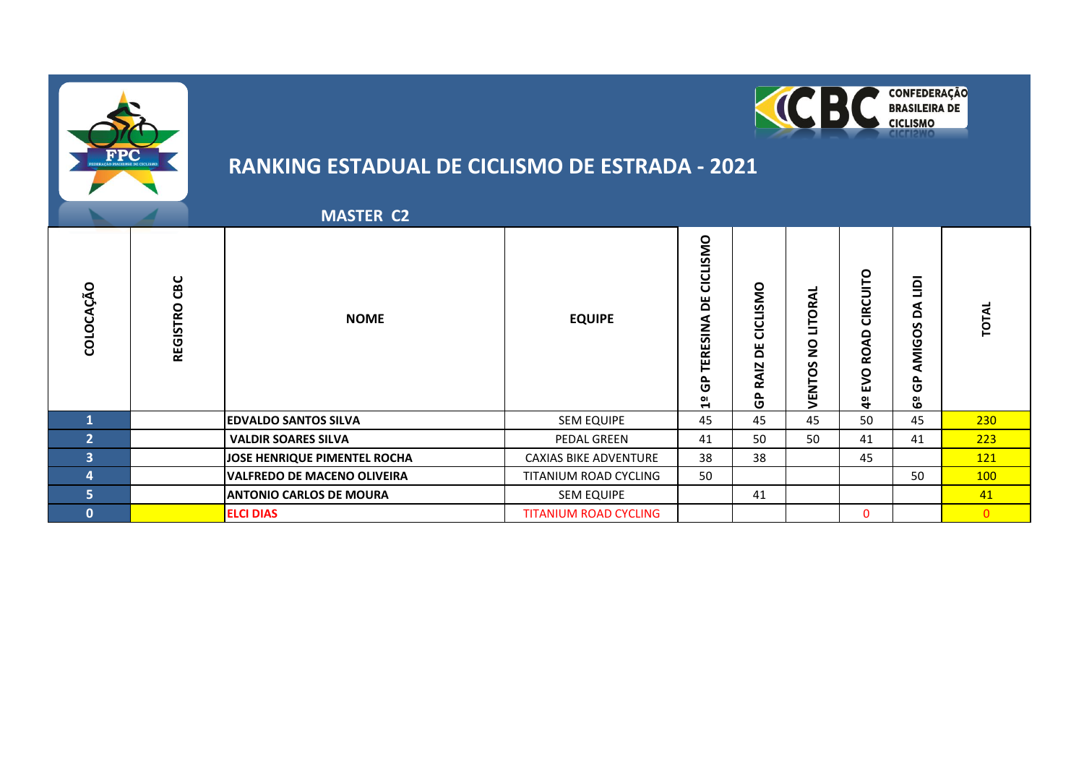



|              |                 | <b>MASTER C2</b>                   |                              |                                        |                                              |                                                |                                                 |                                                |                  |
|--------------|-----------------|------------------------------------|------------------------------|----------------------------------------|----------------------------------------------|------------------------------------------------|-------------------------------------------------|------------------------------------------------|------------------|
| COLOCAÇÃO    | CBC<br>REGISTRO | <b>NOME</b>                        | <b>EQUIPE</b>                | CICLISMO<br>۵<br>TERESINA<br>င်္င<br>읩 | CICLISMO<br>ш<br>Δ<br>⊵<br>⋖<br>خم<br>௨<br>ט | <b>ITORAL</b><br>┙<br>$\overline{2}$<br>VENTOS | CIRCUITO<br><b>ROAD</b><br><b>DAB</b><br>a<br>4 | $\mathbf{r}$<br>å<br>n<br>AMIGO:<br>င်္င<br>မိ | TOTAL            |
| $\mathbf{1}$ |                 | <b>EDVALDO SANTOS SILVA</b>        | <b>SEM EQUIPE</b>            | 45                                     | 45                                           | 45                                             | 50                                              | 45                                             | 230              |
| 2            |                 | <b>VALDIR SOARES SILVA</b>         | PEDAL GREEN                  | 41                                     | 50                                           | 50                                             | 41                                              | 41                                             | 223              |
| 3            |                 | JOSE HENRIQUE PIMENTEL ROCHA       | <b>CAXIAS BIKE ADVENTURE</b> | 38                                     | 38                                           |                                                | 45                                              |                                                | 121              |
| 4            |                 | <b>VALFREDO DE MACENO OLIVEIRA</b> | TITANIUM ROAD CYCLING        | 50                                     |                                              |                                                |                                                 | 50                                             | 100 <sub>1</sub> |
| 5            |                 | <b>ANTONIO CARLOS DE MOURA</b>     | <b>SEM EQUIPE</b>            |                                        | 41                                           |                                                |                                                 |                                                | 41               |
| $\bf{0}$     |                 | <b>ELCI DIAS</b>                   | <b>TITANIUM ROAD CYCLING</b> |                                        |                                              |                                                | $\mathbf{0}$                                    |                                                | $\Omega$         |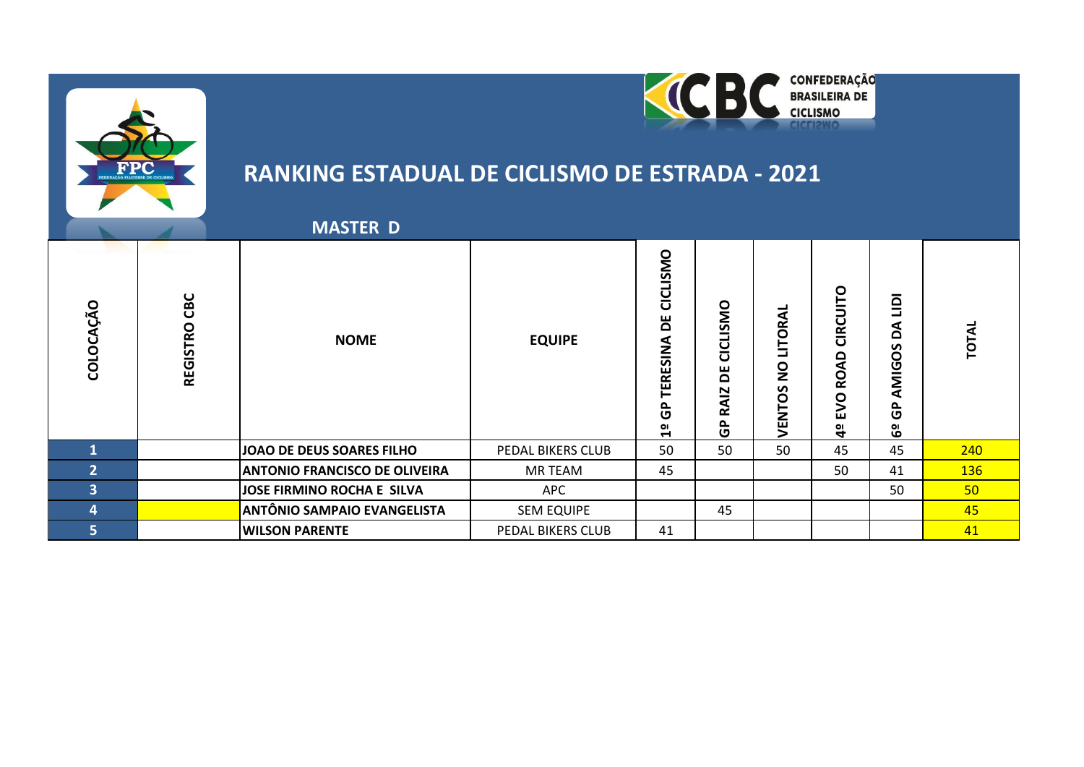



### **MASTER D**

| O<br>ن<br>COLO | CBC<br><b>REGISTRO</b> | <b>NOME</b>                          | <b>EQUIPE</b>     | CICLISMO<br>۳<br>TERESINA<br>င်္င<br>$\frac{1}{2}$ | CICLISMO<br>۵<br>RAIZ<br>င်္င | -<br>LITORA<br>$\overline{2}$<br>VENTOS | DLIN<br><b>IRC</b><br>ပ<br>۵<br>⋖<br>Q<br>O<br>ய<br>ОI<br>4 | -<br>$\overline{a}$<br>⋖<br>$\Omega$<br>S<br>AMIGO<br>௳<br>ပ<br>မိ | 5          |
|----------------|------------------------|--------------------------------------|-------------------|----------------------------------------------------|-------------------------------|-----------------------------------------|-------------------------------------------------------------|--------------------------------------------------------------------|------------|
|                |                        | JOAO DE DEUS SOARES FILHO            | PEDAL BIKERS CLUB | 50                                                 | 50                            | 50                                      | 45                                                          | 45                                                                 | 240        |
| C              |                        | <b>ANTONIO FRANCISCO DE OLIVEIRA</b> | MR TEAM           | 45                                                 |                               |                                         | 50                                                          | 41                                                                 | <b>136</b> |
| 3              |                        | JOSE FIRMINO ROCHA E SILVA           | APC               |                                                    |                               |                                         |                                                             | 50                                                                 | 50         |
| 4              |                        | <b>ANTÔNIO SAMPAIO EVANGELISTA</b>   | <b>SEM EQUIPE</b> |                                                    | 45                            |                                         |                                                             |                                                                    | 45         |
| 5,             |                        | <b>WILSON PARENTE</b>                | PEDAL BIKERS CLUB | 41                                                 |                               |                                         |                                                             |                                                                    | 41         |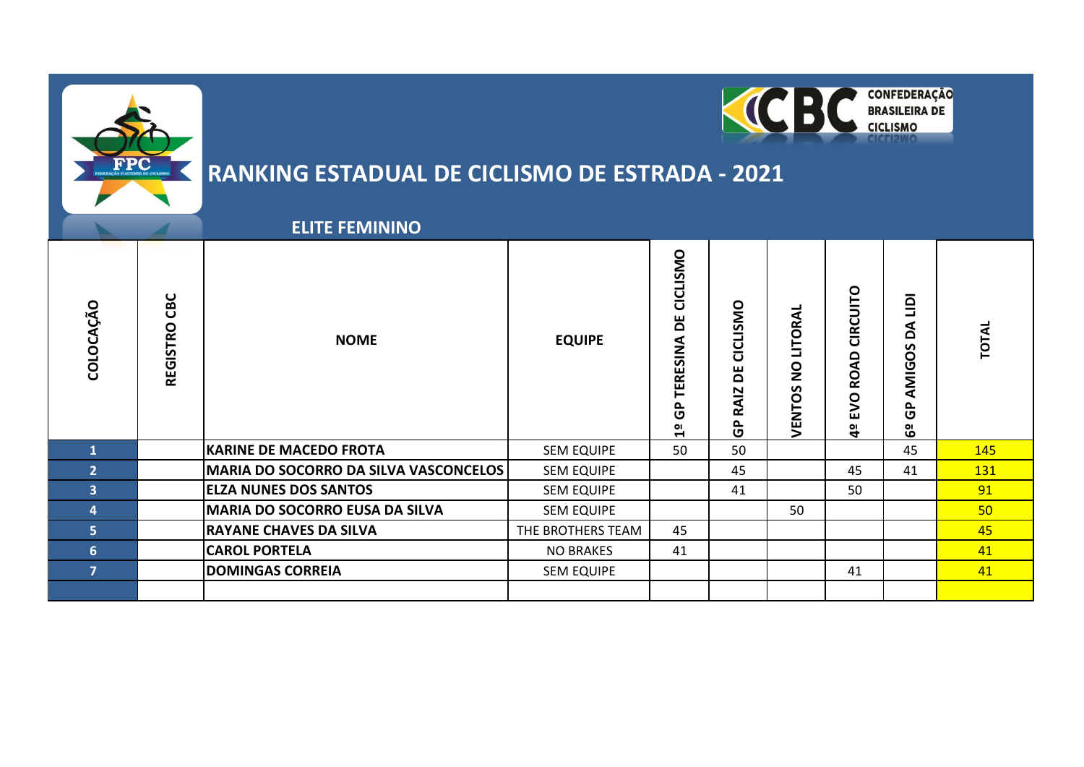



### **ELITE FEMININO**

| O<br>COLOCAÇÃ  | CBC<br>REGISTRO | <b>NOME</b>                                  | <b>EQUIPE</b>     | CICLISMO<br>Ъ<br>TERESINA<br>င်္င<br>읩 | CICLISMO<br>Ъ<br><b>RAIZ</b><br>$\frac{\rho}{\sigma}$ | LITORAL<br>$\mathbf{S}$<br>VENTOS | CIRCUITO<br>Q<br>Q.<br>O<br>><br>ш<br>악 | 亘<br>⋖<br>$\mathbf{a}$<br>AMIGOS<br>௨<br>O<br>$\mathbf{O}$<br>$\ddot{\mathbf{o}}$ | TOTAL           |
|----------------|-----------------|----------------------------------------------|-------------------|----------------------------------------|-------------------------------------------------------|-----------------------------------|-----------------------------------------|-----------------------------------------------------------------------------------|-----------------|
| $\mathbf{1}$   |                 | <b>KARINE DE MACEDO FROTA</b>                | <b>SEM EQUIPE</b> | 50                                     | 50                                                    |                                   |                                         | 45                                                                                | 145             |
| $\overline{2}$ |                 | <b>MARIA DO SOCORRO DA SILVA VASCONCELOS</b> | <b>SEM EQUIPE</b> |                                        | 45                                                    |                                   | 45                                      | 41                                                                                | <b>131</b>      |
| 3              |                 | <b>ELZA NUNES DOS SANTOS</b>                 | <b>SEM EQUIPE</b> |                                        | 41                                                    |                                   | 50                                      |                                                                                   | 91              |
| 4              |                 | <b>MARIA DO SOCORRO EUSA DA SILVA</b>        | <b>SEM EQUIPE</b> |                                        |                                                       | 50                                |                                         |                                                                                   | 50 <sub>2</sub> |
| 5 <sup>1</sup> |                 | <b>RAYANE CHAVES DA SILVA</b>                | THE BROTHERS TEAM | 45                                     |                                                       |                                   |                                         |                                                                                   | 45              |
| 6              |                 | <b>CAROL PORTELA</b>                         | <b>NO BRAKES</b>  | 41                                     |                                                       |                                   |                                         |                                                                                   | 41              |
| $\overline{7}$ |                 | <b>DOMINGAS CORREIA</b>                      | <b>SEM EQUIPE</b> |                                        |                                                       |                                   | 41                                      |                                                                                   | 41              |
|                |                 |                                              |                   |                                        |                                                       |                                   |                                         |                                                                                   |                 |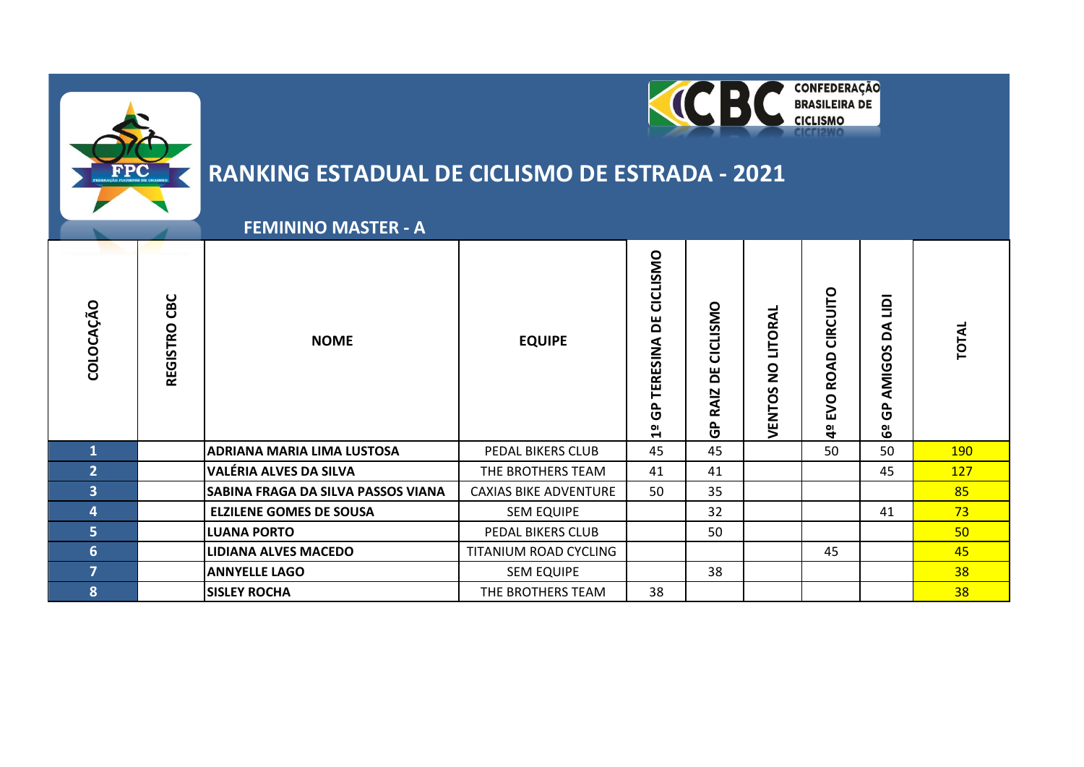



### **FEMININO MASTER - A**

| ÇÃO<br>COLOCA           | CBC<br><b>REGISTRO</b> | <b>NOME</b>                        | <b>EQUIPE</b>                | CICLISMO<br>ш<br>۵<br>TERESINA<br>٩<br>ט<br>임 | CICLISMO<br>Б<br><b>RAIZ</b><br>င်္င | VENTOS NO LITORAL | <b>CIRCUITO</b><br><b>ROAD</b><br>EVO<br>a<br>4 | 亘<br>Å<br>AMIGOS<br>௨<br>ט<br>မိ | <b>TOTAL</b> |
|-------------------------|------------------------|------------------------------------|------------------------------|-----------------------------------------------|--------------------------------------|-------------------|-------------------------------------------------|----------------------------------|--------------|
|                         |                        | ADRIANA MARIA LIMA LUSTOSA         | PEDAL BIKERS CLUB            | 45                                            | 45                                   |                   | 50                                              | 50                               | <b>190</b>   |
| $\overline{2}$          |                        | VALÉRIA ALVES DA SILVA             | THE BROTHERS TEAM            | 41                                            | 41                                   |                   |                                                 | 45                               | 127          |
| $\overline{\mathbf{3}}$ |                        | SABINA FRAGA DA SILVA PASSOS VIANA | <b>CAXIAS BIKE ADVENTURE</b> | 50                                            | 35                                   |                   |                                                 |                                  | 85           |
| 4                       |                        | <b>ELZILENE GOMES DE SOUSA</b>     | <b>SEM EQUIPE</b>            |                                               | 32                                   |                   |                                                 | 41                               | 73           |
| 5 <sup>1</sup>          |                        | <b>LUANA PORTO</b>                 | PEDAL BIKERS CLUB            |                                               | 50                                   |                   |                                                 |                                  | 50           |
| 6                       |                        | <b>LIDIANA ALVES MACEDO</b>        | TITANIUM ROAD CYCLING        |                                               |                                      |                   | 45                                              |                                  | 45           |
| $\overline{7}$          |                        | <b>ANNYELLE LAGO</b>               | <b>SEM EQUIPE</b>            |                                               | 38                                   |                   |                                                 |                                  | 38           |
| 8                       |                        | <b>SISLEY ROCHA</b>                | THE BROTHERS TEAM            | 38                                            |                                      |                   |                                                 |                                  | 38           |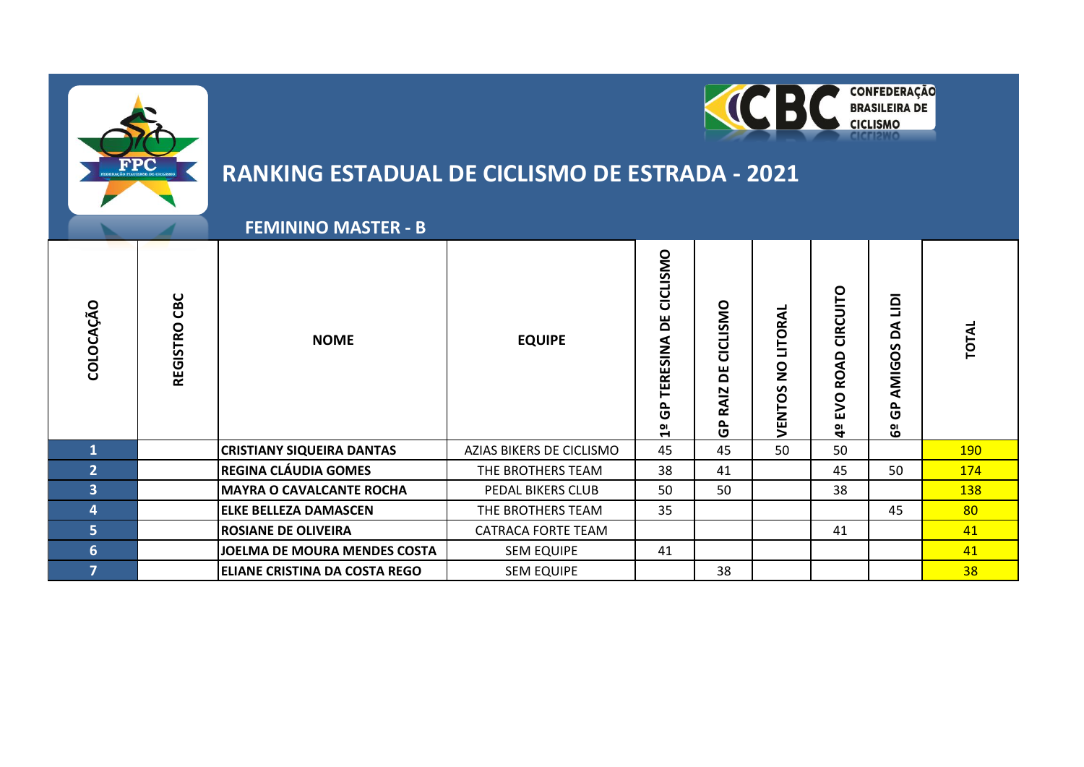

 **REGINA CLÁUDIA GOMES** THE BROTHERS TEAM 38 41 41 45 50 <mark>134</mark> **MAYRA O CAVALCANTE ROCHA** PEDAL BIKERS CLUB 50 50 50 38 38 **[ELKE BELLEZA DAMASCEN](https://www.polesportivo.com.br/res_individual.php?u=106&id=619)** THE BROTHERS TEAM 35 45 45 45 80 **ROSIANE DE OLIVEIRA** CATRACA FORTE TEAM 41 41 **JOELMA DE MOURA MENDES COSTA** SEM EQUIPE 41 41 41 **ELIANE CRISTINA DA COSTA REGO** SEM EQUIPE **1** 38 38

**4º EVO ROAD CIRCUITO**

4º EVO ROAD CIRCUITO

**6º GP AMIGOS DA LIDI**

6º GP AMIGOS DA LIDI

**CONFEDERAÇÃO**<br>BRASILEIRA DE

**CICLISMO** 

 $\overline{\phantom{a}}$ 

**TOTAL**

#### **FEMININO MASTER - B** 1º GP TERESINA DE CICLISMO **1º GP TERESINA DE CICLISMO** REGISTRO CBC **REGISTRO CBC COLOCAÇÃO** GP RAIZ DE CICLISMO **GP RAIZ DE CICLISMO VENTOS NO LITORAL VENTOS NO LITORAL NOME EQUIPE 1 [CRISTIANY SIQUEIRA DANTAS](https://www.polesportivo.com.br/res_individual.php?u=105&id=619)** AZIAS BIKERS DE CICLISMO 45 45 50 50 190